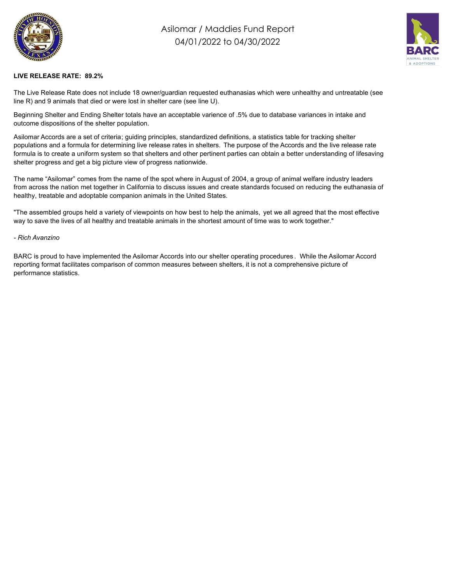

## Asilomar / Maddies Fund Report 04/01/2022 to 04/30/2022



## **LIVE RELEASE RATE: 89.2%**

The Live Release Rate does not include 18 owner/guardian requested euthanasias which were unhealthy and untreatable (see line R) and 9 animals that died or were lost in shelter care (see line U).

Beginning Shelter and Ending Shelter totals have an acceptable varience of .5% due to database variances in intake and outcome dispositions of the shelter population.

Asilomar Accords are a set of criteria; guiding principles, standardized definitions, a statistics table for tracking shelter populations and a formula for determining live release rates in shelters. The purpose of the Accords and the live release rate formula is to create a uniform system so that shelters and other pertinent parties can obtain a better understanding of lifesaving shelter progress and get a big picture view of progress nationwide.

The name "Asilomar" comes from the name of the spot where in August of 2004, a group of animal welfare industry leaders from across the nation met together in California to discuss issues and create standards focused on reducing the euthanasia of healthy, treatable and adoptable companion animals in the United States.

"The assembled groups held a variety of viewpoints on how best to help the animals, yet we all agreed that the most effective way to save the lives of all healthy and treatable animals in the shortest amount of time was to work together."

## *- Rich Avanzino*

BARC is proud to have implemented the Asilomar Accords into our shelter operating procedures . While the Asilomar Accord reporting format facilitates comparison of common measures between shelters, it is not a comprehensive picture of performance statistics.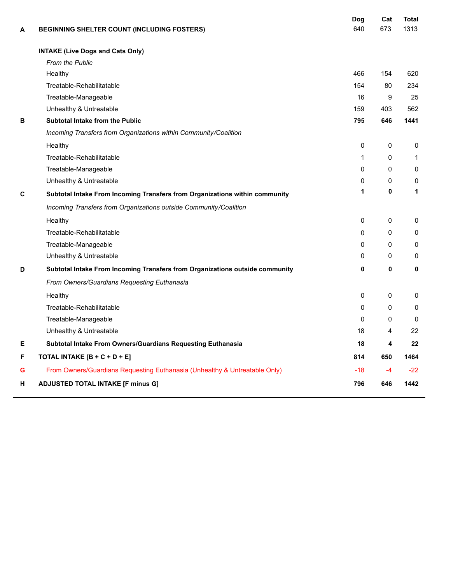| A | BEGINNING SHELTER COUNT (INCLUDING FOSTERS)                                  | Dog<br>640   | Cat<br>673 | <b>Total</b><br>1313 |
|---|------------------------------------------------------------------------------|--------------|------------|----------------------|
|   | <b>INTAKE (Live Dogs and Cats Only)</b>                                      |              |            |                      |
|   | <b>From the Public</b>                                                       |              |            |                      |
|   | Healthy                                                                      | 466          | 154        | 620                  |
|   | Treatable-Rehabilitatable                                                    | 154          | 80         | 234                  |
|   | Treatable-Manageable                                                         | 16           | 9          | 25                   |
|   | Unhealthy & Untreatable                                                      | 159          | 403        | 562                  |
| в | <b>Subtotal Intake from the Public</b>                                       | 795          | 646        | 1441                 |
|   | Incoming Transfers from Organizations within Community/Coalition             |              |            |                      |
|   | Healthy                                                                      | $\mathbf{0}$ | 0          | $\mathbf{0}$         |
|   | Treatable-Rehabilitatable                                                    | 1            | $\Omega$   | $\mathbf{1}$         |
|   | Treatable-Manageable                                                         | $\Omega$     | $\Omega$   | $\mathbf{0}$         |
|   | Unhealthy & Untreatable                                                      | 0            | 0          | 0                    |
| C | Subtotal Intake From Incoming Transfers from Organizations within community  | 1            | 0          | 1                    |
|   | Incoming Transfers from Organizations outside Community/Coalition            |              |            |                      |
|   | Healthy                                                                      | $\mathbf{0}$ | 0          | $\mathbf{0}$         |
|   | Treatable-Rehabilitatable                                                    | $\Omega$     | 0          | $\mathbf{0}$         |
|   | Treatable-Manageable                                                         | $\Omega$     | 0          | 0                    |
|   | Unhealthy & Untreatable                                                      | 0            | 0          | $\Omega$             |
| D | Subtotal Intake From Incoming Transfers from Organizations outside community | 0            | 0          | 0                    |
|   | From Owners/Guardians Requesting Euthanasia                                  |              |            |                      |
|   | Healthy                                                                      | $\mathbf{0}$ | 0          | 0                    |
|   | Treatable-Rehabilitatable                                                    | $\Omega$     | $\Omega$   | $\mathbf{0}$         |
|   | Treatable-Manageable                                                         | $\Omega$     | 0          | $\mathbf{0}$         |
|   | Unhealthy & Untreatable                                                      | 18           | 4          | 22                   |
| Е | Subtotal Intake From Owners/Guardians Requesting Euthanasia                  | 18           | 4          | 22                   |
| F | TOTAL INTAKE [B + C + D + E]                                                 | 814          | 650        | 1464                 |
| G | From Owners/Guardians Requesting Euthanasia (Unhealthy & Untreatable Only)   | $-18$        | $-4$       | $-22$                |
| н | <b>ADJUSTED TOTAL INTAKE [F minus G]</b>                                     | 796          | 646        | 1442                 |